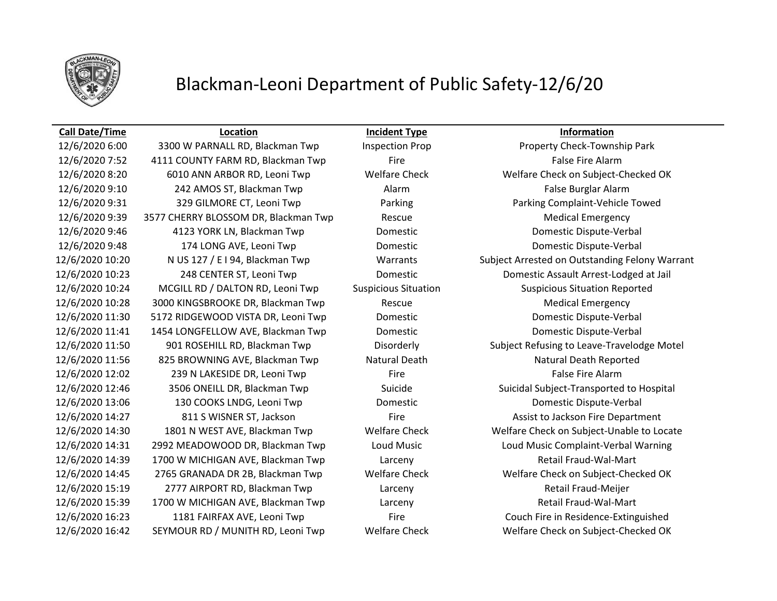

## Blackman-Leoni Department of Public Safety-12/6/20

### **Call Date/Time Location Incident Type Information**

12/6/2020 6:00 3300 W PARNALL RD, Blackman Twp Inspection Prop Property Check-Township Park 12/6/2020 7:52 4111 COUNTY FARM RD, Blackman Twp Fire Fire Fire False Fire Alarm 12/6/2020 9:10 242 AMOS ST, Blackman Twp Alarm Alarm Companies and False Burglar Alarm 12/6/2020 9:31 329 GILMORE CT, Leoni Twp Parking Parking Complaint-Vehicle Towed 12/6/2020 9:39 3577 CHERRY BLOSSOM DR, Blackman Twp Rescue Rescue Medical Emergency 12/6/2020 9:46 4123 YORK LN, Blackman Twp Domestic Domestic Dispute-Verbal 12/6/2020 9:48 174 LONG AVE, Leoni Twp Domestic Domestic Dispute-Verbal 12/6/2020 10:24 MCGILL RD / DALTON RD, Leoni Twp Suspicious Situation Suspicious Situation Reported 12/6/2020 10:28 3000 KINGSBROOKE DR, Blackman Twp Rescue Medical Emergency 12/6/2020 11:30 5172 RIDGEWOOD VISTA DR, Leoni Twp Domestic Domestic Dispute-Verbal 12/6/2020 11:41 1454 LONGFELLOW AVE, Blackman Twp Domestic Domestic Dispute-Verbal 12/6/2020 11:56 825 BROWNING AVE, Blackman Twp Natural Death Natural Death Reported 12/6/2020 12:02 239 N LAKESIDE DR, Leoni Twp Fire Fire Fire False Fire Alarm 12/6/2020 13:06 130 COOKS LNDG, Leoni Twp Domestic Domestic Dispute-Verbal 12/6/2020 14:27 811 S WISNER ST, Jackson Fire Fire Fire Assist to Jackson Fire Department 12/6/2020 14:39 1700 W MICHIGAN AVE, Blackman Twp Larceny Retail Fraud-Wal-Mart 12/6/2020 15:19 2777 AIRPORT RD, Blackman Twp Larceny Retail Fraud-Meijer 12/6/2020 15:39 1700 W MICHIGAN AVE, Blackman Twp Larceny Retail Fraud-Wal-Mart 12/6/2020 16:23 1181 FAIRFAX AVE, Leoni Twp Fire Fire Couch Fire in Residence-Extinguished 12/6/2020 16:42 SEYMOUR RD / MUNITH RD, Leoni Twp Welfare Check Welfare Check on Subject-Checked OK

12/6/2020 8:20 6010 ANN ARBOR RD, Leoni Twp Welfare Check Welfare Check on Subject-Checked OK 12/6/2020 10:20 N US 127 / E I 94, Blackman Twp Warrants Subject Arrested on Outstanding Felony Warrant 12/6/2020 10:23 248 CENTER ST, Leoni Twp Domestic Domestic Assault Arrest-Lodged at Jail 12/6/2020 11:50 901 ROSEHILL RD, Blackman Twp Disorderly Subject Refusing to Leave-Travelodge Motel 12/6/2020 12:46 3506 ONEILL DR, Blackman Twp Suicide Suicidal Subject-Transported to Hospital 12/6/2020 14:30 1801 N WEST AVE, Blackman Twp Welfare Check Welfare Check on Subject-Unable to Locate 12/6/2020 14:31 2992 MEADOWOOD DR, Blackman Twp Loud Music Loud Music Complaint-Verbal Warning 12/6/2020 14:45 2765 GRANADA DR 2B, Blackman Twp Welfare Check Welfare Check on Subject-Checked OK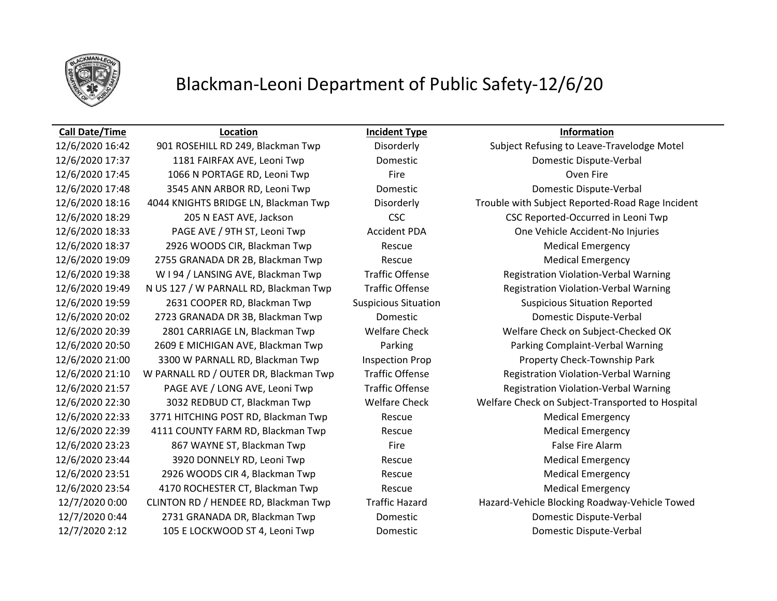

## Blackman-Leoni Department of Public Safety-12/6/20

### **Call Date/Time Location Incident Type Information**

12/6/2020 17:37 1181 FAIRFAX AVE, Leoni Twp Domestic Domestic Dispute-Verbal 12/6/2020 17:45 1066 N PORTAGE RD, Leoni Twp Fire Fire Fire Coven Fire Oven Fire 12/6/2020 17:48 3545 ANN ARBOR RD, Leoni Twp Domestic Domestic Dispute-Verbal 12/6/2020 18:37 2926 WOODS CIR, Blackman Twp Rescue Medical Emergency 12/6/2020 19:09 2755 GRANADA DR 2B, Blackman Twp Rescue Medical Emergency 12/6/2020 19:59 2631 COOPER RD, Blackman Twp Suspicious Situation Suspicious Situation Reported 12/6/2020 20:02 2723 GRANADA DR 3B, Blackman Twp Domestic Domestic Dispute-Verbal 12/6/2020 21:00 3300 W PARNALL RD, Blackman Twp Inspection Prop Property Check-Township Park 12/6/2020 22:33 3771 HITCHING POST RD, Blackman Twp Rescue Medical Emergency 12/6/2020 22:39 4111 COUNTY FARM RD, Blackman Twp Rescue Rescue Medical Emergency 12/6/2020 23:23 667 WAYNE ST, Blackman Twp Fire Fire Fire False Fire Alarm 12/6/2020 23:44 3920 DONNELY RD, Leoni Twp Rescue Rescue Medical Emergency 12/6/2020 23:51 2926 WOODS CIR 4, Blackman Twp Rescue Medical Emergency 12/6/2020 23:54 4170 ROCHESTER CT, Blackman Twp Rescue Rescue Medical Emergency 12/7/2020 0:44 2731 GRANADA DR, Blackman Twp Domestic Domestic Dispute-Verbal 12/7/2020 2:12 105 E LOCKWOOD ST 4, Leoni Twp Domestic Domestic Dispute-Verbal

12/6/2020 16:42 901 ROSEHILL RD 249, Blackman Twp Disorderly Subject Refusing to Leave-Travelodge Motel 12/6/2020 18:16 4044 KNIGHTS BRIDGE LN, Blackman Twp Disorderly Trouble with Subject Reported-Road Rage Incident 12/6/2020 18:29 205 N EAST AVE, Jackson CSC CSC Reported-Occurred in Leoni Twp 12/6/2020 18:33 PAGE AVE / 9TH ST, Leoni Twp Accident PDA One Vehicle Accident-No Injuries 12/6/2020 19:38 W I 94 / LANSING AVE, Blackman Twp Traffic Offense Registration Violation-Verbal Warning 12/6/2020 19:49 N US 127 / W PARNALL RD, Blackman Twp Traffic Offense Registration Violation-Verbal Warning 12/6/2020 20:39 2801 CARRIAGE LN, Blackman Twp Welfare Check Welfare Check on Subject-Checked OK 12/6/2020 20:50 2609 E MICHIGAN AVE, Blackman Twp Parking Parking Complaint-Verbal Warning 12/6/2020 21:10 W PARNALL RD / OUTER DR, Blackman Twp Traffic Offense Registration Violation-Verbal Warning 12/6/2020 21:57 PAGE AVE / LONG AVE, Leoni Twp Traffic Offense Registration Violation-Verbal Warning 12/6/2020 22:30 3032 REDBUD CT, Blackman Twp Welfare Check Welfare Check on Subject-Transported to Hospital 12/7/2020 0:00 CLINTON RD / HENDEE RD, Blackman Twp Traffic Hazard Hazard-Vehicle Blocking Roadway-Vehicle Towed